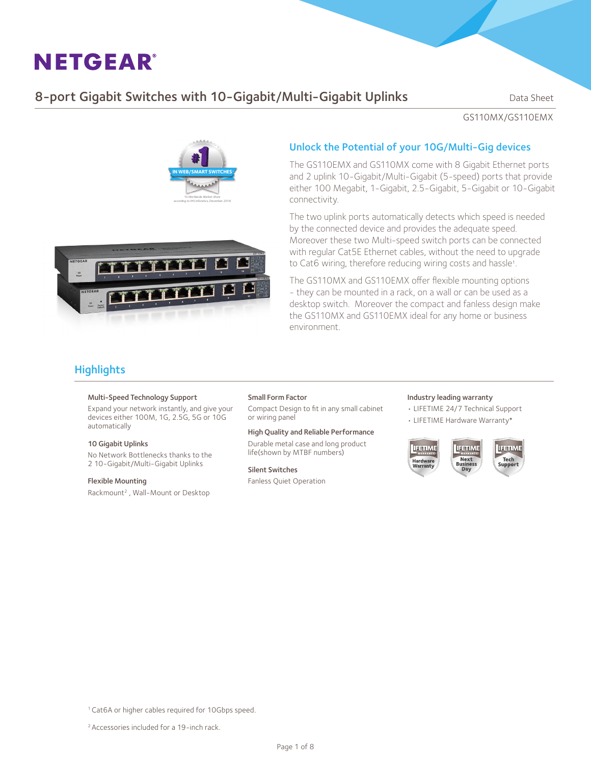## 8-port Gigabit Switches with 10-Gigabit/Multi-Gigabit Uplinks Data Sheet

GS110MX/GS110EMX





The GS110EMX and GS110MX come with 8 Gigabit Ethernet ports and 2 uplink 10-Gigabit/Multi-Gigabit (5-speed) ports that provide either 100 Megabit, 1-Gigabit, 2.5-Gigabit, 5-Gigabit or 10-Gigabit connectivity.

The two uplink ports automatically detects which speed is needed by the connected device and provides the adequate speed. Moreover these two Multi-speed switch ports can be connected with regular Cat5E Ethernet cables, without the need to upgrade to Cat6 wiring, therefore reducing wiring costs and hassle<sup>1</sup>.

The GS110MX and GS110EMX offer flexible mounting options - they can be mounted in a rack, on a wall or can be used as a desktop switch. Moreover the compact and fanless design make the GS110MX and GS110EMX ideal for any home or business environment.

## **Highlights**

#### Multi-Speed Technology Support

Expand your network instantly, and give your devices either 100M, 1G, 2.5G, 5G or 10G automatically

#### 10 Gigabit Uplinks

No Network Bottlenecks thanks to the 2 10-Gigabit/Multi-Gigabit Uplinks

#### Flexible Mounting

Rackmount2 , Wall-Mount or Desktop

#### Small Form Factor

Compact Design to fit in any small cabinet or wiring panel

#### High Quality and Reliable Performance

Durable metal case and long product life(shown by MTBF numbers)

#### Silent Switches

Fanless Quiet Operation

### Industry leading warranty

- LIFETIME 24/7 Technical Support
- LIFETIME Hardware Warranty\*







2 Accessories included for a 19-inch rack.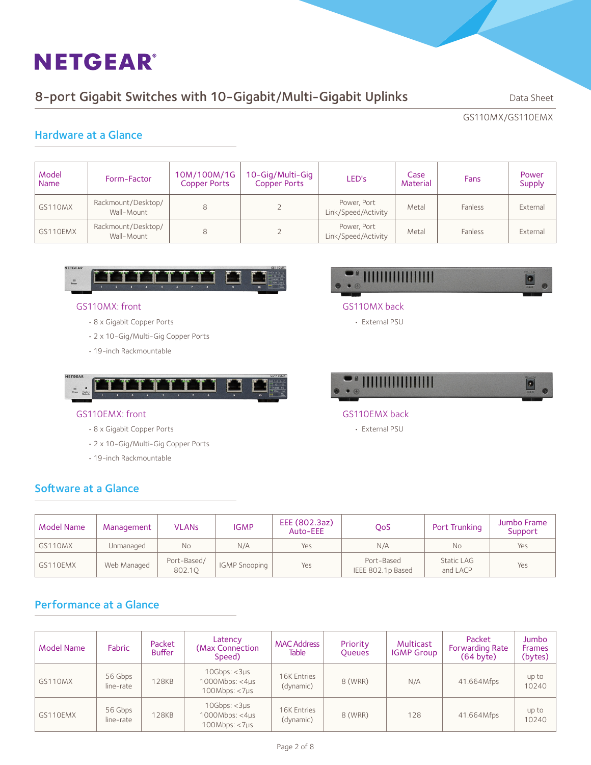## 8-port Gigabit Switches with 10-Gigabit/Multi-Gigabit Uplinks Data Sheet

GS110MX/GS110EMX

## Hardware at a Glance

| Model<br><b>Name</b> | Form-Factor                      | 10M/100M/1G<br><b>Copper Ports</b> | 10-Gig/Multi-Gig<br><b>Copper Ports</b> | LED's                              | Case<br>Material | Fans    | Power<br><b>Supply</b> |
|----------------------|----------------------------------|------------------------------------|-----------------------------------------|------------------------------------|------------------|---------|------------------------|
| GS110MX              | Rackmount/Desktop/<br>Wall-Mount | 8                                  |                                         | Power, Port<br>Link/Speed/Activity | Metal            | Fanless | External               |
| GS110EMX             | Rackmount/Desktop/<br>Wall-Mount | 8                                  |                                         | Power, Port<br>Link/Speed/Activity | Metal            | Fanless | External               |



### GS110MX: front

- 8 x Gigabit Copper Ports
- 2 x 10-Gig/Multi-Gig Copper Ports
- 19-inch Rackmountable



### GS110EMX: front

- 8 x Gigabit Copper Ports
- 2 x 10-Gig/Multi-Gig Copper Ports
- 19-inch Rackmountable

Software at a Glance



### GS110MX back

• External PSU



- GS110EMX back
	- External PSU

| Model Name | Management  | <b>VLANs</b>          | <b>IGMP</b>          | EEE (802.3az)<br>Auto-EEE | QoS                             | Port Trunking                 | Jumbo Frame<br>Support |
|------------|-------------|-----------------------|----------------------|---------------------------|---------------------------------|-------------------------------|------------------------|
| GS110MX    | Unmanaged   | Νo                    | N/A                  | Yes                       | N/A                             | No                            | Yes                    |
| GS110EMX   | Web Managed | Port-Based/<br>802.10 | <b>IGMP Snooping</b> | Yes                       | Port-Based<br>IEEE 802.1p Based | <b>Static LAG</b><br>and LACP | Yes                    |

## Performance at a Glance

| <b>Model Name</b> | Fabric               | Packet<br><b>Buffer</b> | Latency<br>(Max Connection)<br>Speed)              | <b>MAC Address</b><br><b>Table</b> | Priority<br><b>Queues</b> | Multicast<br><b>IGMP Group</b> | Packet<br><b>Forwarding Rate</b><br>(64 byte) | Jumbo<br><b>Frames</b><br>(bytes) |
|-------------------|----------------------|-------------------------|----------------------------------------------------|------------------------------------|---------------------------|--------------------------------|-----------------------------------------------|-----------------------------------|
| GS110MX           | 56 Gbps<br>line-rate | <b>128KB</b>            | 10Gbps: < 3µs<br>1000Mbps: < 4µs<br>100Mbps: < 7µs | 16K Entries<br>(dynamic)           | 8 (WRR)                   | N/A                            | 41.664Mfps                                    | up to<br>10240                    |
| GS110EMX          | 56 Gbps<br>line-rate | <b>128KB</b>            | 10Gbps: < 3µs<br>1000Mbps: < 4µs<br>100Mbps: < 7µs | 16K Entries<br>(dynamic)           | 8 (WRR)                   | 128                            | 41.664Mfps                                    | up to<br>10240                    |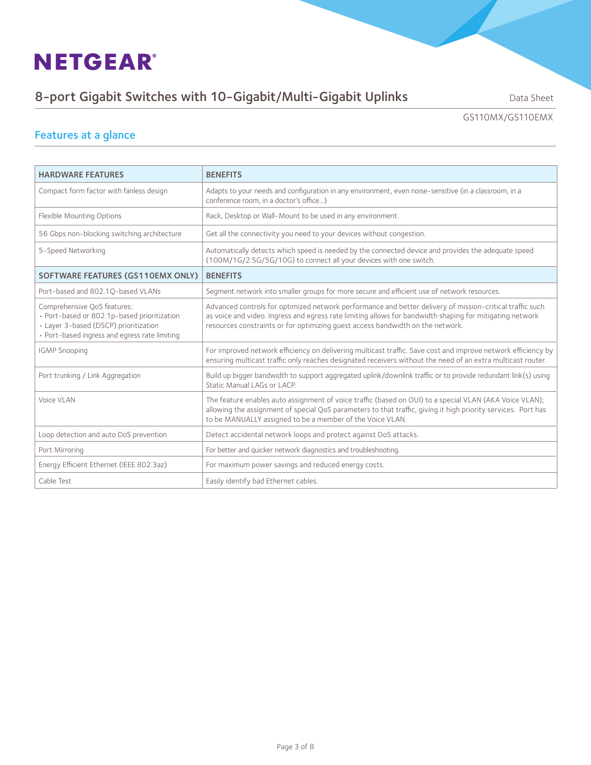# 8-port Gigabit Switches with 10-Gigabit/Multi-Gigabit Uplinks Data Sheet

GS110MX/GS110EMX

# Features at a glance

| <b>HARDWARE FEATURES</b>                                                                                                                                             | <b>BENEFITS</b>                                                                                                                                                                                                                                                                                        |
|----------------------------------------------------------------------------------------------------------------------------------------------------------------------|--------------------------------------------------------------------------------------------------------------------------------------------------------------------------------------------------------------------------------------------------------------------------------------------------------|
| Compact form factor with fanless design                                                                                                                              | Adapts to your needs and configuration in any environment, even noise-sensitive (in a classroom, in a<br>conference room, in a doctor's office)                                                                                                                                                        |
| Flexible Mounting Options                                                                                                                                            | Rack, Desktop or Wall-Mount to be used in any environment.                                                                                                                                                                                                                                             |
| 56 Gbps non-blocking switching architecture                                                                                                                          | Get all the connectivity you need to your devices without congestion.                                                                                                                                                                                                                                  |
| 5-Speed Networking                                                                                                                                                   | Automatically detects which speed is needed by the connected device and provides the adequate speed<br>(100M/1G/2.5G/5G/10G) to connect all your devices with one switch.                                                                                                                              |
| SOFTWARE FEATURES (GS110EMX ONLY)                                                                                                                                    | <b>BENEFITS</b>                                                                                                                                                                                                                                                                                        |
| Port-based and 802.10-based VLANs                                                                                                                                    | Segment network into smaller groups for more secure and efficient use of network resources.                                                                                                                                                                                                            |
| Comprehensive QoS features:<br>· Port-based or 802.1p-based prioritization<br>· Layer 3-based (DSCP) prioritization<br>· Port-based ingress and egress rate limiting | Advanced controls for optimized network performance and better delivery of mission-critical traffic such<br>as voice and video. Ingress and egress rate limiting allows for bandwidth shaping for mitigating network<br>resources constraints or for optimizing quest access bandwidth on the network. |
| <b>IGMP Snooping</b>                                                                                                                                                 | For improved network efficiency on delivering multicast traffic. Save cost and improve network efficiency by<br>ensuring multicast traffic only reaches designated receivers without the need of an extra multicast router.                                                                            |
| Port trunking / Link Aggregation                                                                                                                                     | Build up bigger bandwidth to support aggregated uplink/downlink traffic or to provide redundant link(s) using<br>Static Manual LAGs or LACP.                                                                                                                                                           |
| Voice VLAN                                                                                                                                                           | The feature enables auto assignment of voice traffic (based on OUI) to a special VLAN (AKA Voice VLAN);<br>allowing the assignment of special QoS parameters to that traffic, giving it high priority services. Port has<br>to be MANUALLY assigned to be a member of the Voice VLAN.                  |
| Loop detection and auto DoS prevention                                                                                                                               | Detect accidental network loops and protect against DoS attacks.                                                                                                                                                                                                                                       |
| Port Mirroring                                                                                                                                                       | For better and quicker network diagnostics and troubleshooting.                                                                                                                                                                                                                                        |
| Energy Efficient Ethernet (IEEE 802.3az)                                                                                                                             | For maximum power savings and reduced energy costs.                                                                                                                                                                                                                                                    |
| Cable Test                                                                                                                                                           | Easily identify bad Ethernet cables.                                                                                                                                                                                                                                                                   |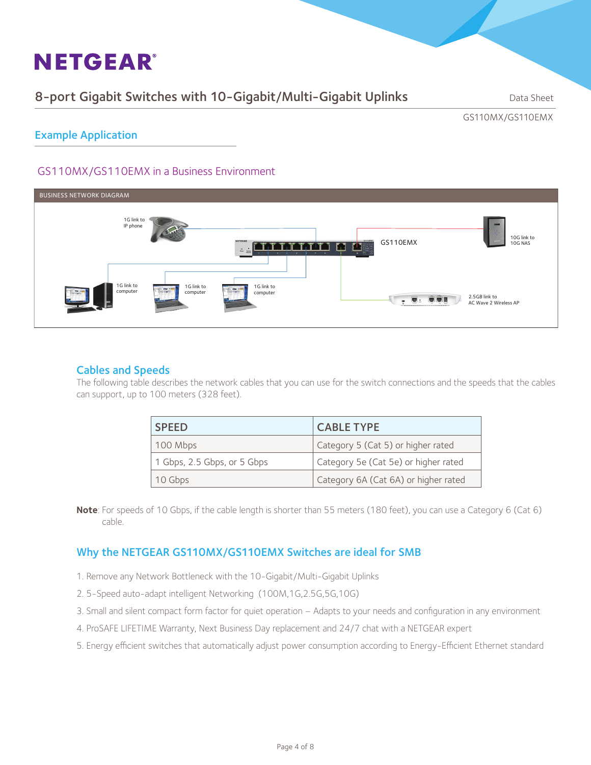## 8-port Gigabit Switches with 10-Gigabit/Multi-Gigabit Uplinks Data Sheet

GS110MX/GS110EMX

Example Application

### GS110MX/GS110EMX in a Business Environment



### Cables and Speeds

The following table describes the network cables that you can use for the switch connections and the speeds that the cables can support, up to 100 meters (328 feet).

| <b>SPEED</b>                | <b>CABLE TYPE</b>                    |
|-----------------------------|--------------------------------------|
| 100 Mbps                    | Category 5 (Cat 5) or higher rated   |
| 1 Gbps, 2.5 Gbps, or 5 Gbps | Category 5e (Cat 5e) or higher rated |
| 10 Gbps                     | Category 6A (Cat 6A) or higher rated |

**Note**: For speeds of 10 Gbps, if the cable length is shorter than 55 meters (180 feet), you can use a Category 6 (Cat 6) cable.

### Why the NETGEAR GS110MX/GS110EMX Switches are ideal for SMB

- 1. Remove any Network Bottleneck with the 10-Gigabit/Multi-Gigabit Uplinks
- 2. 5-Speed auto-adapt intelligent Networking (100M,1G,2.5G,5G,10G)
- 3. Small and silent compact form factor for quiet operation Adapts to your needs and configuration in any environment
- 4. ProSAFE LIFETIME Warranty, Next Business Day replacement and 24/7 chat with a NETGEAR expert
- 5. Energy efficient switches that automatically adjust power consumption according to Energy-Efficient Ethernet standard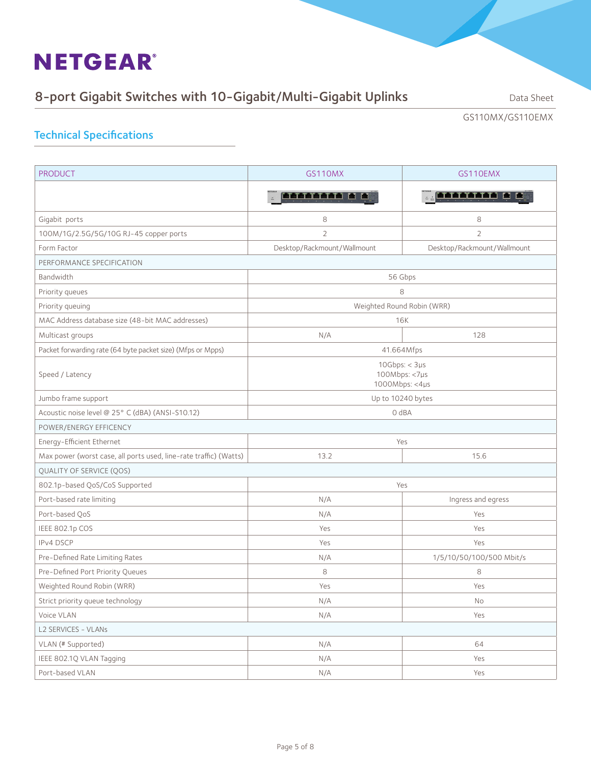# 8-port Gigabit Switches with 10-Gigabit/Multi-Gigabit Uplinks Data Sheet

GS110MX/GS110EMX

## Technical Specifications

| <b>PRODUCT</b>                                                    | GS110MX                                          | GS110EMX                    |  |  |  |
|-------------------------------------------------------------------|--------------------------------------------------|-----------------------------|--|--|--|
|                                                                   |                                                  | <u>. Tiittiin b p</u>       |  |  |  |
| Gigabit ports                                                     | 8                                                | 8                           |  |  |  |
| 100M/1G/2.5G/5G/10G RJ-45 copper ports                            | $\overline{2}$                                   | $\overline{2}$              |  |  |  |
| Form Factor                                                       | Desktop/Rackmount/Wallmount                      | Desktop/Rackmount/Wallmount |  |  |  |
| PERFORMANCE SPECIFICATION                                         |                                                  |                             |  |  |  |
| Bandwidth                                                         | 56 Gbps                                          |                             |  |  |  |
| Priority queues                                                   | 8                                                |                             |  |  |  |
| Priority queuing                                                  | Weighted Round Robin (WRR)                       |                             |  |  |  |
| MAC Address database size (48-bit MAC addresses)                  |                                                  | 16K                         |  |  |  |
| Multicast groups                                                  | N/A                                              | 128                         |  |  |  |
| Packet forwarding rate (64 byte packet size) (Mfps or Mpps)       | 41.664Mfps                                       |                             |  |  |  |
| Speed / Latency                                                   | 10Gbps: < 3µs<br>100Mbps: <7µs<br>1000Mbps: <4µs |                             |  |  |  |
| Jumbo frame support                                               | Up to 10240 bytes                                |                             |  |  |  |
| Acoustic noise level @ 25° C (dBA) (ANSI-S10.12)                  | 0 dBA                                            |                             |  |  |  |
| POWER/ENERGY EFFICENCY                                            |                                                  |                             |  |  |  |
| Energy-Efficient Ethernet                                         |                                                  | Yes                         |  |  |  |
| Max power (worst case, all ports used, line-rate traffic) (Watts) | 13.2                                             | 15.6                        |  |  |  |
| QUALITY OF SERVICE (QOS)                                          |                                                  |                             |  |  |  |
| 802.1p-based QoS/CoS Supported                                    |                                                  | Yes                         |  |  |  |
| Port-based rate limiting                                          | N/A                                              | Ingress and egress          |  |  |  |
| Port-based QoS                                                    | N/A                                              | Yes                         |  |  |  |
| IEEE 802.1p COS                                                   | Yes                                              | Yes                         |  |  |  |
| IPv4 DSCP                                                         | Yes                                              | Yes                         |  |  |  |
| Pre-Defined Rate Limiting Rates                                   | N/A                                              | 1/5/10/50/100/500 Mbit/s    |  |  |  |
| Pre-Defined Port Priority Queues                                  | 8                                                | 8                           |  |  |  |
| Weighted Round Robin (WRR)                                        | Yes                                              | Yes                         |  |  |  |
| Strict priority queue technology                                  | N/A                                              | No                          |  |  |  |
| Voice VLAN                                                        | N/A                                              | Yes                         |  |  |  |
| L2 SERVICES - VLANs                                               |                                                  |                             |  |  |  |
| VLAN (# Supported)                                                | N/A                                              | 64                          |  |  |  |
| IEEE 802.1Q VLAN Tagging                                          | N/A                                              | Yes                         |  |  |  |
| Port-based VLAN                                                   | N/A                                              | Yes                         |  |  |  |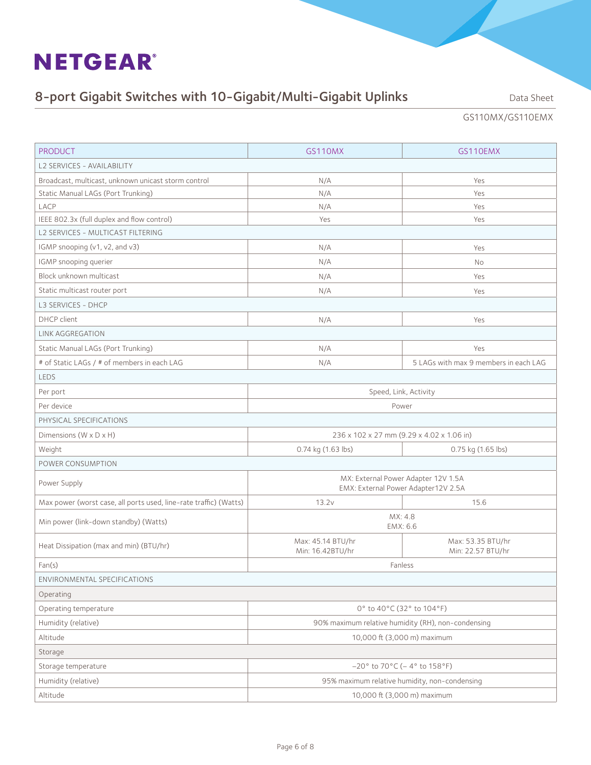# 8-port Gigabit Switches with 10-Gigabit/Multi-Gigabit Uplinks Data Sheet

GS110MX/GS110EMX

| L2 SERVICES - AVAILABILITY<br>Broadcast, multicast, unknown unicast storm control<br>N/A<br>Yes<br>Static Manual LAGs (Port Trunking)<br>N/A<br>Yes<br>LACP<br>N/A<br>Yes<br>IEEE 802.3x (full duplex and flow control)<br>Yes<br>Yes<br>L2 SERVICES - MULTICAST FILTERING<br>IGMP snooping (v1, v2, and v3)<br>N/A<br>Yes<br>IGMP snooping querier<br>N/A<br>No<br>Block unknown multicast<br>N/A<br>Yes<br>Static multicast router port<br>N/A<br>Yes<br>L3 SERVICES - DHCP<br>DHCP client<br>N/A<br>Yes<br>LINK AGGREGATION<br>Static Manual LAGs (Port Trunking)<br>N/A<br>Yes<br>5 LAGs with max 9 members in each LAG<br># of Static LAGs / # of members in each LAG<br>N/A<br><b>LEDS</b><br>Per port<br>Speed, Link, Activity<br>Per device<br>Power<br>PHYSICAL SPECIFICATIONS<br>236 x 102 x 27 mm (9.29 x 4.02 x 1.06 in)<br>Dimensions $(W \times D \times H)$<br>Weight<br>0.74 kg (1.63 lbs)<br>0.75 kg (1.65 lbs)<br>POWER CONSUMPTION<br>MX: External Power Adapter 12V 1.5A<br>Power Supply<br>EMX: External Power Adapter12V 2.5A<br>Max power (worst case, all ports used, line-rate traffic) (Watts)<br>13.2v<br>15.6<br>MX: 4.8<br>Min power (link-down standby) (Watts)<br>EMX: 6.6<br>Max: 45.14 BTU/hr<br>Max: 53.35 BTU/hr<br>Heat Dissipation (max and min) (BTU/hr)<br>Min: 16.42BTU/hr<br>Min: 22.57 BTU/hr<br>Fan(s)<br>Fanless<br>ENVIRONMENTAL SPECIFICATIONS<br>Operating<br>0° to 40°C (32° to 104°F)<br>Operating temperature<br>Humidity (relative)<br>90% maximum relative humidity (RH), non-condensing<br>Altitude<br>10,000 ft (3,000 m) maximum<br>Storage<br>$-20^{\circ}$ to 70°C (-4° to 158°F)<br>Storage temperature<br>Humidity (relative)<br>95% maximum relative humidity, non-condensing | <b>PRODUCT</b> | GS110MX | GS110EMX |  |  |
|-------------------------------------------------------------------------------------------------------------------------------------------------------------------------------------------------------------------------------------------------------------------------------------------------------------------------------------------------------------------------------------------------------------------------------------------------------------------------------------------------------------------------------------------------------------------------------------------------------------------------------------------------------------------------------------------------------------------------------------------------------------------------------------------------------------------------------------------------------------------------------------------------------------------------------------------------------------------------------------------------------------------------------------------------------------------------------------------------------------------------------------------------------------------------------------------------------------------------------------------------------------------------------------------------------------------------------------------------------------------------------------------------------------------------------------------------------------------------------------------------------------------------------------------------------------------------------------------------------------------------------------------------------------------------------------------------------------------------------------------|----------------|---------|----------|--|--|
|                                                                                                                                                                                                                                                                                                                                                                                                                                                                                                                                                                                                                                                                                                                                                                                                                                                                                                                                                                                                                                                                                                                                                                                                                                                                                                                                                                                                                                                                                                                                                                                                                                                                                                                                           |                |         |          |  |  |
|                                                                                                                                                                                                                                                                                                                                                                                                                                                                                                                                                                                                                                                                                                                                                                                                                                                                                                                                                                                                                                                                                                                                                                                                                                                                                                                                                                                                                                                                                                                                                                                                                                                                                                                                           |                |         |          |  |  |
|                                                                                                                                                                                                                                                                                                                                                                                                                                                                                                                                                                                                                                                                                                                                                                                                                                                                                                                                                                                                                                                                                                                                                                                                                                                                                                                                                                                                                                                                                                                                                                                                                                                                                                                                           |                |         |          |  |  |
|                                                                                                                                                                                                                                                                                                                                                                                                                                                                                                                                                                                                                                                                                                                                                                                                                                                                                                                                                                                                                                                                                                                                                                                                                                                                                                                                                                                                                                                                                                                                                                                                                                                                                                                                           |                |         |          |  |  |
|                                                                                                                                                                                                                                                                                                                                                                                                                                                                                                                                                                                                                                                                                                                                                                                                                                                                                                                                                                                                                                                                                                                                                                                                                                                                                                                                                                                                                                                                                                                                                                                                                                                                                                                                           |                |         |          |  |  |
|                                                                                                                                                                                                                                                                                                                                                                                                                                                                                                                                                                                                                                                                                                                                                                                                                                                                                                                                                                                                                                                                                                                                                                                                                                                                                                                                                                                                                                                                                                                                                                                                                                                                                                                                           |                |         |          |  |  |
|                                                                                                                                                                                                                                                                                                                                                                                                                                                                                                                                                                                                                                                                                                                                                                                                                                                                                                                                                                                                                                                                                                                                                                                                                                                                                                                                                                                                                                                                                                                                                                                                                                                                                                                                           |                |         |          |  |  |
|                                                                                                                                                                                                                                                                                                                                                                                                                                                                                                                                                                                                                                                                                                                                                                                                                                                                                                                                                                                                                                                                                                                                                                                                                                                                                                                                                                                                                                                                                                                                                                                                                                                                                                                                           |                |         |          |  |  |
|                                                                                                                                                                                                                                                                                                                                                                                                                                                                                                                                                                                                                                                                                                                                                                                                                                                                                                                                                                                                                                                                                                                                                                                                                                                                                                                                                                                                                                                                                                                                                                                                                                                                                                                                           |                |         |          |  |  |
|                                                                                                                                                                                                                                                                                                                                                                                                                                                                                                                                                                                                                                                                                                                                                                                                                                                                                                                                                                                                                                                                                                                                                                                                                                                                                                                                                                                                                                                                                                                                                                                                                                                                                                                                           |                |         |          |  |  |
|                                                                                                                                                                                                                                                                                                                                                                                                                                                                                                                                                                                                                                                                                                                                                                                                                                                                                                                                                                                                                                                                                                                                                                                                                                                                                                                                                                                                                                                                                                                                                                                                                                                                                                                                           |                |         |          |  |  |
|                                                                                                                                                                                                                                                                                                                                                                                                                                                                                                                                                                                                                                                                                                                                                                                                                                                                                                                                                                                                                                                                                                                                                                                                                                                                                                                                                                                                                                                                                                                                                                                                                                                                                                                                           |                |         |          |  |  |
|                                                                                                                                                                                                                                                                                                                                                                                                                                                                                                                                                                                                                                                                                                                                                                                                                                                                                                                                                                                                                                                                                                                                                                                                                                                                                                                                                                                                                                                                                                                                                                                                                                                                                                                                           |                |         |          |  |  |
|                                                                                                                                                                                                                                                                                                                                                                                                                                                                                                                                                                                                                                                                                                                                                                                                                                                                                                                                                                                                                                                                                                                                                                                                                                                                                                                                                                                                                                                                                                                                                                                                                                                                                                                                           |                |         |          |  |  |
|                                                                                                                                                                                                                                                                                                                                                                                                                                                                                                                                                                                                                                                                                                                                                                                                                                                                                                                                                                                                                                                                                                                                                                                                                                                                                                                                                                                                                                                                                                                                                                                                                                                                                                                                           |                |         |          |  |  |
|                                                                                                                                                                                                                                                                                                                                                                                                                                                                                                                                                                                                                                                                                                                                                                                                                                                                                                                                                                                                                                                                                                                                                                                                                                                                                                                                                                                                                                                                                                                                                                                                                                                                                                                                           |                |         |          |  |  |
|                                                                                                                                                                                                                                                                                                                                                                                                                                                                                                                                                                                                                                                                                                                                                                                                                                                                                                                                                                                                                                                                                                                                                                                                                                                                                                                                                                                                                                                                                                                                                                                                                                                                                                                                           |                |         |          |  |  |
|                                                                                                                                                                                                                                                                                                                                                                                                                                                                                                                                                                                                                                                                                                                                                                                                                                                                                                                                                                                                                                                                                                                                                                                                                                                                                                                                                                                                                                                                                                                                                                                                                                                                                                                                           |                |         |          |  |  |
|                                                                                                                                                                                                                                                                                                                                                                                                                                                                                                                                                                                                                                                                                                                                                                                                                                                                                                                                                                                                                                                                                                                                                                                                                                                                                                                                                                                                                                                                                                                                                                                                                                                                                                                                           |                |         |          |  |  |
|                                                                                                                                                                                                                                                                                                                                                                                                                                                                                                                                                                                                                                                                                                                                                                                                                                                                                                                                                                                                                                                                                                                                                                                                                                                                                                                                                                                                                                                                                                                                                                                                                                                                                                                                           |                |         |          |  |  |
|                                                                                                                                                                                                                                                                                                                                                                                                                                                                                                                                                                                                                                                                                                                                                                                                                                                                                                                                                                                                                                                                                                                                                                                                                                                                                                                                                                                                                                                                                                                                                                                                                                                                                                                                           |                |         |          |  |  |
|                                                                                                                                                                                                                                                                                                                                                                                                                                                                                                                                                                                                                                                                                                                                                                                                                                                                                                                                                                                                                                                                                                                                                                                                                                                                                                                                                                                                                                                                                                                                                                                                                                                                                                                                           |                |         |          |  |  |
|                                                                                                                                                                                                                                                                                                                                                                                                                                                                                                                                                                                                                                                                                                                                                                                                                                                                                                                                                                                                                                                                                                                                                                                                                                                                                                                                                                                                                                                                                                                                                                                                                                                                                                                                           |                |         |          |  |  |
|                                                                                                                                                                                                                                                                                                                                                                                                                                                                                                                                                                                                                                                                                                                                                                                                                                                                                                                                                                                                                                                                                                                                                                                                                                                                                                                                                                                                                                                                                                                                                                                                                                                                                                                                           |                |         |          |  |  |
|                                                                                                                                                                                                                                                                                                                                                                                                                                                                                                                                                                                                                                                                                                                                                                                                                                                                                                                                                                                                                                                                                                                                                                                                                                                                                                                                                                                                                                                                                                                                                                                                                                                                                                                                           |                |         |          |  |  |
|                                                                                                                                                                                                                                                                                                                                                                                                                                                                                                                                                                                                                                                                                                                                                                                                                                                                                                                                                                                                                                                                                                                                                                                                                                                                                                                                                                                                                                                                                                                                                                                                                                                                                                                                           |                |         |          |  |  |
|                                                                                                                                                                                                                                                                                                                                                                                                                                                                                                                                                                                                                                                                                                                                                                                                                                                                                                                                                                                                                                                                                                                                                                                                                                                                                                                                                                                                                                                                                                                                                                                                                                                                                                                                           |                |         |          |  |  |
|                                                                                                                                                                                                                                                                                                                                                                                                                                                                                                                                                                                                                                                                                                                                                                                                                                                                                                                                                                                                                                                                                                                                                                                                                                                                                                                                                                                                                                                                                                                                                                                                                                                                                                                                           |                |         |          |  |  |
|                                                                                                                                                                                                                                                                                                                                                                                                                                                                                                                                                                                                                                                                                                                                                                                                                                                                                                                                                                                                                                                                                                                                                                                                                                                                                                                                                                                                                                                                                                                                                                                                                                                                                                                                           |                |         |          |  |  |
|                                                                                                                                                                                                                                                                                                                                                                                                                                                                                                                                                                                                                                                                                                                                                                                                                                                                                                                                                                                                                                                                                                                                                                                                                                                                                                                                                                                                                                                                                                                                                                                                                                                                                                                                           |                |         |          |  |  |
|                                                                                                                                                                                                                                                                                                                                                                                                                                                                                                                                                                                                                                                                                                                                                                                                                                                                                                                                                                                                                                                                                                                                                                                                                                                                                                                                                                                                                                                                                                                                                                                                                                                                                                                                           |                |         |          |  |  |
|                                                                                                                                                                                                                                                                                                                                                                                                                                                                                                                                                                                                                                                                                                                                                                                                                                                                                                                                                                                                                                                                                                                                                                                                                                                                                                                                                                                                                                                                                                                                                                                                                                                                                                                                           |                |         |          |  |  |
|                                                                                                                                                                                                                                                                                                                                                                                                                                                                                                                                                                                                                                                                                                                                                                                                                                                                                                                                                                                                                                                                                                                                                                                                                                                                                                                                                                                                                                                                                                                                                                                                                                                                                                                                           |                |         |          |  |  |
|                                                                                                                                                                                                                                                                                                                                                                                                                                                                                                                                                                                                                                                                                                                                                                                                                                                                                                                                                                                                                                                                                                                                                                                                                                                                                                                                                                                                                                                                                                                                                                                                                                                                                                                                           |                |         |          |  |  |
|                                                                                                                                                                                                                                                                                                                                                                                                                                                                                                                                                                                                                                                                                                                                                                                                                                                                                                                                                                                                                                                                                                                                                                                                                                                                                                                                                                                                                                                                                                                                                                                                                                                                                                                                           |                |         |          |  |  |
| Altitude<br>10,000 ft (3,000 m) maximum                                                                                                                                                                                                                                                                                                                                                                                                                                                                                                                                                                                                                                                                                                                                                                                                                                                                                                                                                                                                                                                                                                                                                                                                                                                                                                                                                                                                                                                                                                                                                                                                                                                                                                   |                |         |          |  |  |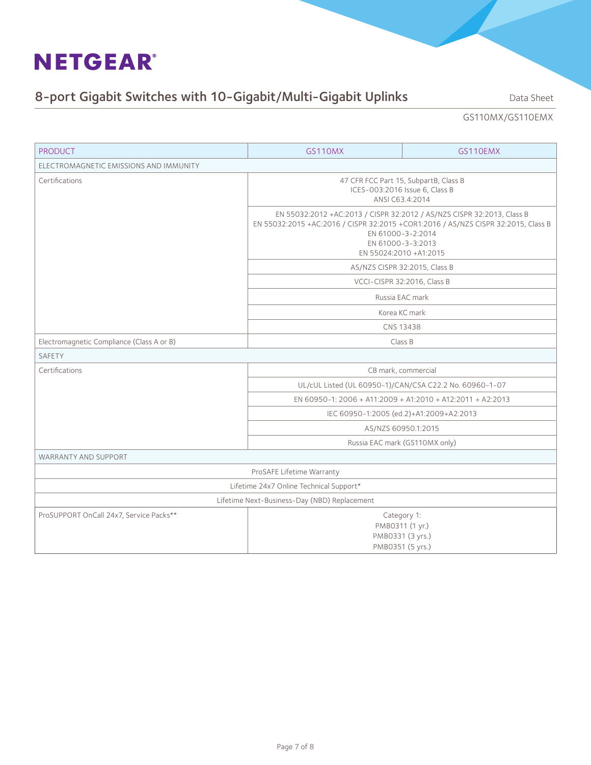# 8-port Gigabit Switches with 10-Gigabit/Multi-Gigabit Uplinks Data Sheet

### GS110MX/GS110EMX

| <b>PRODUCT</b>                               | <b>GS110MX</b>                                                                                                                                                                                                                                                    | GS110EMX                        |  |  |
|----------------------------------------------|-------------------------------------------------------------------------------------------------------------------------------------------------------------------------------------------------------------------------------------------------------------------|---------------------------------|--|--|
| ELECTROMAGNETIC EMISSIONS AND IMMUNITY       |                                                                                                                                                                                                                                                                   |                                 |  |  |
| Certifications                               | 47 CFR FCC Part 15, SubpartB, Class B<br>ICES-003:2016 Issue 6, Class B<br>ANSI C63.4:2014                                                                                                                                                                        |                                 |  |  |
|                                              | EN 55032:2012 + AC:2013 / CISPR 32:2012 / AS/NZS CISPR 32:2013, Class B<br>EN 55032:2015 +AC:2016 / CISPR 32:2015 +COR1:2016 / AS/NZS CISPR 32:2015, Class B<br>EN 61000-3-2:2014<br>EN 61000-3-3:2013<br>EN 55024:2010 +A1:2015<br>AS/NZS CISPR 32:2015, Class B |                                 |  |  |
|                                              |                                                                                                                                                                                                                                                                   |                                 |  |  |
|                                              |                                                                                                                                                                                                                                                                   | VCCI-CISPR 32:2016, Class B     |  |  |
|                                              |                                                                                                                                                                                                                                                                   | Russia EAC mark                 |  |  |
|                                              | Korea KC mark                                                                                                                                                                                                                                                     |                                 |  |  |
|                                              | CNS 13438                                                                                                                                                                                                                                                         |                                 |  |  |
| Electromagnetic Compliance (Class A or B)    | Class B                                                                                                                                                                                                                                                           |                                 |  |  |
| SAFETY                                       |                                                                                                                                                                                                                                                                   |                                 |  |  |
| Certifications                               | CB mark, commercial                                                                                                                                                                                                                                               |                                 |  |  |
|                                              | UL/cUL Listed (UL 60950-1)/CAN/CSA C22.2 No. 60960-1-07                                                                                                                                                                                                           |                                 |  |  |
|                                              | EN 60950-1: 2006 + A11:2009 + A1:2010 + A12:2011 + A2:2013                                                                                                                                                                                                        |                                 |  |  |
|                                              | IEC 60950-1:2005 (ed.2)+A1:2009+A2:2013                                                                                                                                                                                                                           |                                 |  |  |
|                                              | AS/NZS 60950.1:2015                                                                                                                                                                                                                                               |                                 |  |  |
|                                              | Russia EAC mark (GS110MX only)                                                                                                                                                                                                                                    |                                 |  |  |
| <b>WARRANTY AND SUPPORT</b>                  |                                                                                                                                                                                                                                                                   |                                 |  |  |
|                                              | ProSAFE Lifetime Warranty                                                                                                                                                                                                                                         |                                 |  |  |
|                                              | Lifetime 24x7 Online Technical Support*                                                                                                                                                                                                                           |                                 |  |  |
| Lifetime Next-Business-Day (NBD) Replacement |                                                                                                                                                                                                                                                                   |                                 |  |  |
| ProSUPPORT OnCall 24x7, Service Packs**      | PMB0311 (1 yr.)<br>PMB0351 (5 yrs.)                                                                                                                                                                                                                               | Category 1:<br>PMB0331 (3 yrs.) |  |  |